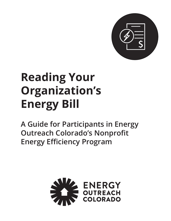

# **Reading Your Organization's Energy Bill**

**A Guide for Participants in Energy Outreach Colorado's Nonprofit Energy Efficiency Program**

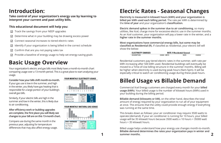**Take control of your organization's energy use by learning to interpret your current and past utility bills.** 

### **This educational document will help you:**

- $\boxdot$  Track the savings from your NEEP upgrades
- Determine what in your building may be drawing excess power  $\boxtimes$
- Connect seasonal increases to tiered electric rates  $\triangledown$
- Identify if your organization is being billed in the correct schedule ☑
- Confirm that are you not paying sales tax ☑
- Provide a baseline of energy usage to help set energy-saving goals  $\triangledown$

### **Introduction:**

### **Basic Usage Overview**

Your organization's electric and gas bills most likely have a month-to-month chart comparing usage over a 13-month period. This is a great place to start analyzing your usage.

#### **Consider how your bills shift month-to-month.**

If your gas use is low in the summer, and high in the winter, you likely have gas heating that is responsible for a large portion of your building's overall gas bills.

Similarly, if your electric bills are high in the summer and low in the winter, this is likely due to air conditioning.

### **After efficiency work or building upgrades are complete, the first place you will likely see changes to your bill are on this 13-month chart.**

Compare use during the same month in the previous year, adjusting for temperature differences that may also affect energy usage.

#### YOUR MONTHLY ELECTRICITY USAGE



| <b>DAILY AVERAGES</b>   | <b>Last Year</b> | <b>This Year</b> |
|-------------------------|------------------|------------------|
| Temperature             | 45° F            | $39^\circ$ F     |
| I Electricity kWh       | 10.8             | 10.8             |
| <b>Electricity Cost</b> | \$133            | <b>S1.33</b>     |

#### YOUR MONTHLY NATURAL GAS USAGE



 $$1.68$ 

\$1.79

Gas Cost

# **Electric Rates - Seasonal Changes**

**Electricity is measured in kilowatt hours (kWh) and your organization is billed per kWh used each billing period.** The rate per kWh is determined by the **time of year** and your organization's **classification.**

**Electric demand spikes in the summer due to air conditioning**, so many utilities, like Xcel, charge more for excessive electric use in the summer months. As an Xcel customer, your organization will pay a lower rate in the winter, and a **higher rate in the summer months.**

**Most organizations have commercial energy bills, but some may be classified as Residential (R).** If classifed as residential, your electric bill will show the below:

> **ELECTRICITY CHARGES DESCRIPTION**

Residential customers pay tiered electric rates in the summer, with rate per kWh increasing after 500 kWh used. Residential buildings will eventually be moved to a Time-of-Use billing structure in the summer months. Billing will be higher when electricity is used during peak hours (9am-5pm). It will be especially critical to watch air conditioning usage during these peak hours.

### **Billed Usage vs Billable Demand**

Commercial Xcel Energy customers are charged every month for your **billed usage (kWh)**. Your billed usage is the number of kilowatt hours (kWh) used in your building during the billing period.

**Billable demand (kilowatts or kW)***,* on the other hand, describes the total amount of energy required by your organization to run all of your equipment at once. This ensures that the utility could provide enough energy if everything was running at the same time.

This breaks down as follows: your air conditioner may require 3500 watts to operate (demand). If your air conditioner is running for 10 hours, your billed usage will be 35 kilowatt hours because 3500 watts x 10 hours = 35000 watt hours = 35 kilowatt hours.

Billed usage helps understand how your energy use changes month-to-month. **Billable demand determines the rates your organization pays in winter and 1 summer months. 2**

**RATE: R Residential General USAGE UNITS CHARGE RATE**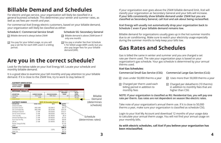For electric and gas service, your organization will likely be classified in a general business schedule. This determines your winter and summer rates, as well as set fees per month and year.

For commercial Xcel Energy electric customers, based on your billable demand, your organization will likely be classified as either:

### **Billable Demand and Schedules**

- $\nabla$  Billable demand is always below 25 kW
- $\nabla$  You pay for your billed usage, so you will pay a set fee for each kWh used in a billing period.
- 
- $\nabla$  Billable demand is above 25 kW (even if only one month)
- You pay a smaller fee than Schedule C for billed usage (kWh used), but you also pay larger fees for your billable demand (kW).

#### **Schedule C: Commercial Service Small Schedule SG: Secondary General**

### **Are you in the correct schedule?**

Look for the below table on your Xcel Energy bill. Locate your schedule and monthly billable demand.

It is a good idea to examine your bill monthly and pay attention to your billable demand. If it is close to the 25kW line, try to work to stay below it!

If your organization ever goes above the 25kW billable demand limit, Xcel will classify your organization as Secondary General and your bills will increase. **If your bills consistently show billable demand under 25kW but you are classified as Secondary General, call Xcel and ask about being reclassified.** 

- $\boxdot$  Uses under 50,000 therms a year
- $\boxdot$  Charged per therm used each billing period in addition to monthly fees

- $\boxdot$  Uses more than 50,000 therms a year
- Charged per dekatherm (10 therms) in addition to monthly fees that are higher than CSG

**Xcel Energy will usually not automatically drop your organization back to Schedule C even if your billable demand remains low.** 

Billable demand for organizations usually goes up in the hot summer months due to air conditioning. Make sure to watch your electricity usage especially during the summer months to help keep your bills low.

### **Gas Rates and Schedules**



Gas is billed the same in winter and summer and you are charged a set rate per therm used. The rate your organization pays is based on your organization's gas schedule. Your gas schedule is determined by your annual therms used.

### **Xcel Gas Schedules:**

Take note of your organization's annual therm use. If it is close to 50,000 therms a year, make sure your organization is classified as schedule CSG.

Login to your Xcel My Account and download 12 months of your usage data to calculate your annual therm usage. You will not find your annual usage on your monthly bills.

### **As with electric schedules, call Xcel if you believe your organization has**

**been misclassified.** 

#### **NOTE: If your organization is classified as RG: Residential Gas, you will pay one rate per therm. Gas rates are not dependent on season like electric rates.**

### **Commercial Small Gas Service (CSG) Commercial Large Gas Service (CLG)**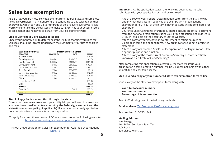# **Sales tax exemption**

As a 501c3, you are most likely tax-exempt from federal, state, and some local taxes. Nevertheless, many nonprofits are continuing to pay sales tax on their energy bills, which can add up to hundreds of dollars over several years. It is worthwhile to take the below steps to make sure Xcel has your account listed as tax exempt and removes sales tax from your bill going forward.

#### **Step 1: Confirm you are paying sales tax**

Check your monthly bills to determine if the utility is charging you sales tax. Sales tax should be located underneath the summary of your usage charges and fees.

| <b>ELECTRICITY CHARGES</b> |                    |          | <b>RATE: SG Secondary General</b> |               |
|----------------------------|--------------------|----------|-----------------------------------|---------------|
| <b>DESCRIPTION</b>         | <b>USAGE UNITS</b> |          | <b>RATE</b>                       | <b>CHARGE</b> |
| Service & Facility         |                    |          |                                   | \$34.40       |
| Secondary General          |                    | 9480 kWh | \$0.004610                        | \$43.70       |
| Elec Commodity Adj         |                    | 9480 kWh | \$0.030790                        | \$291.89      |
| Distribution Demand        |                    | 27 kW    | \$5.630000                        | \$152.01      |
| Gen & Transm Demand        |                    | 27 kW    | \$9.820000                        | \$265.14      |
| Trans Cost Adj             |                    | 27 kW    | \$0.340000                        | \$9.18        |
| Demand Side Mgmt Cost      |                    | 27 kW    | \$0.460000                        | \$12.42       |
| Purch Cap Cost Adj         |                    | 27 kW    | \$1.440000                        | \$38.88       |
| CACJA                      |                    | 27 kW    | \$1.560000                        | \$42.12       |
| Renew. Energy Std Adj      |                    |          |                                   | \$17.80       |
| GRSA                       |                    |          |                                   | \$0.59        |
| <b>Subtotal</b>            |                    |          |                                   | \$908.13      |
| Franchise Fee              |                    |          | $3.00\%$                          | \$27.24       |
| Sales Tax                  |                    |          |                                   | \$34.14       |
| Total                      |                    |          |                                   | \$969.51      |

#### **Step 2: Apply for tax exemption through the state**

To remove these sales taxes from your utility bill, you will need to make sure you have been classified as **tax exempt by the federal government and the state (& local municipality, if applicable)**. If you have not already applied for tax exemption from the state, take the steps below.

To apply for exemption on state of CO sales taxes, go to the following website: <https://tax.colorado.gov/tax-exemption-application>

Fill out the Application for Sales Tax Exemption for Colorado Organizations [DR 0715](https://tax.colorado.gov/sites/tax/files/DR0715_2016.pdf)

**Important:** As the application states, the following documents must be submitted with your application or it will be returned.

• Attach a copy of your Federal Determination Letter from the IRS showing exempt under 501(c)(3) of the Internal Revenue Code will be considered for

• Churches under a national church body should include an official document from the national organization stating your group affiliation. See Rule 39-26-

- under which classification code you are exempt. Only organizations exemption.
- 718(2)(h) available on the Secretary of State's website.
- Attach a copy of your latest financial statement to reflect sources of statement.
- a specific purpose and function.
- known as "Certificate of Good Standing."

Colorado income and expenditures. New organizations submit a projected

• Attach a copy of Colorado Articles of Incorporation or of Organization. State

• Attach a copy of the most current Colorado Secretary of State Certificate

After completing this application successfully, the state will issue your organization a tax-exemption number (will be 7-8 digits beginning with either 98 or 098) and charitable license.

#### **Step 3: Send a copy of your numbered state tax-exemption form to Xcel**

Send a copy of the state tax-exemption form along with:

- **• Your Xcel account number**
- **• Your meter number**
- **• Percentage of tax-exemption**

Send to Xcel using one of the following methods:

**Email address:** [TaxExemptionFax@xcelenergy.com](mailto:TaxExemptionFax%40xcelenergy.com%20?subject=)

**Fax number:** 715-737-1347

#### **Mailing Address:**

Xcel Energy Attn Billing Services - Sales Tax P.O. Box 8 Eau Claire, WI 54702